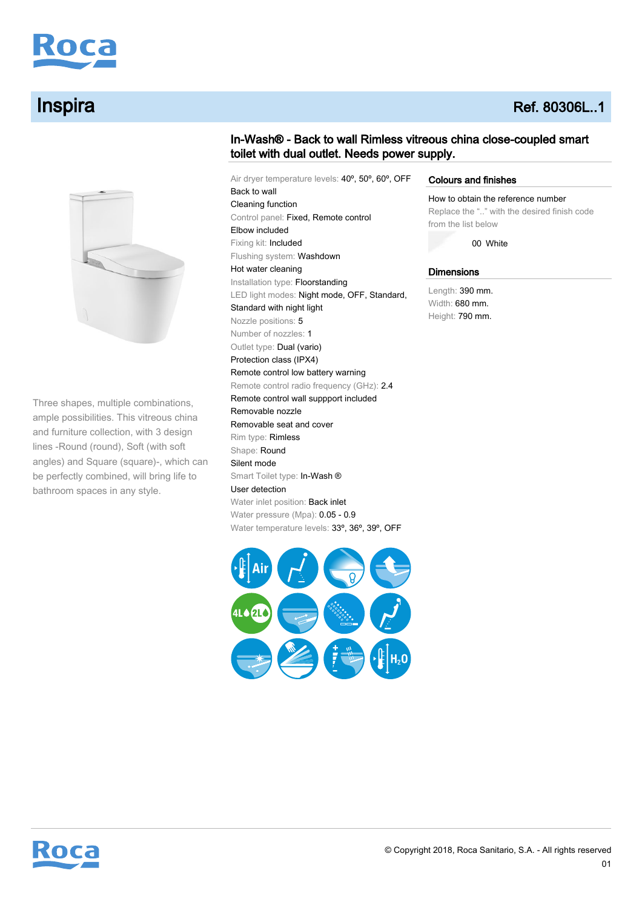

# **Inspira** Ref. 80306L..1



Three shapes, multiple combinations, ample possibilities. This vitreous china and furniture collection, with 3 design lines -Round (round), Soft (with soft angles) and Square (square)-, which can be perfectly combined, will bring life to bathroom spaces in any style.

# In-Wash® - Back to wall Rimless vitreous china close-coupled smart toilet with dual outlet. Needs power supply.

Air dryer temperature levels: 40º, 50º, 60º, OFF Back to wall Cleaning function Control panel: Fixed, Remote control Elbow included Fixing kit: Included Flushing system: Washdown Hot water cleaning Installation type: Floorstanding LED light modes: Night mode, OFF, Standard, Standard with night light Nozzle positions: 5 Number of nozzles: 1 Outlet type: Dual (vario) Protection class (IPX4) Remote control low battery warning Remote control radio frequency (GHz): 2.4 Remote control wall suppport included Removable nozzle Removable seat and cover Rim type: Rimless Shape: Round Silent mode Smart Toilet type: In-Wash ® User detection Water inlet position: Back inlet Water pressure (Mpa): 0.05 - 0.9 Water temperature levels: 33°, 36°, 39°, OFF



### Colours and finishes

How to obtain the reference number Replace the ".." with the desired finish code

from the list below

00 White

### **Dimensions**

Length: 390 mm. Width: 680 mm. Height: 790 mm.

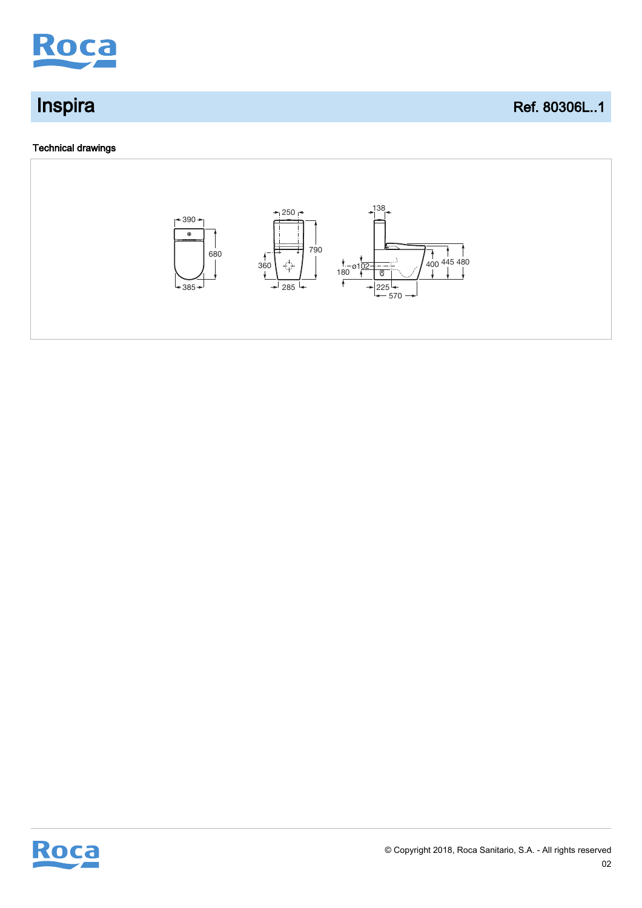

## Technical drawings